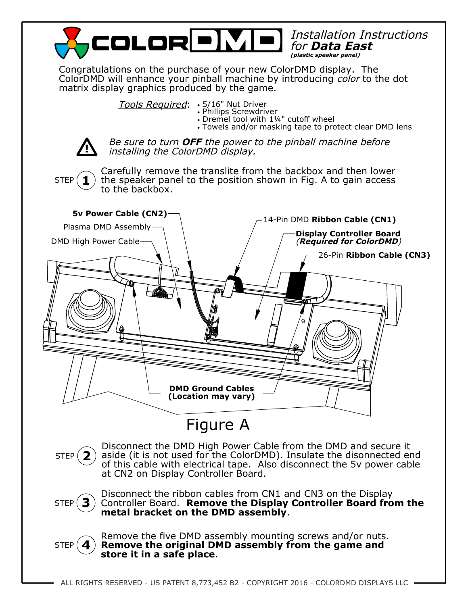

Congratulations on the purchase of your new ColorDMD display. The ColorDMD will enhance your pinball machine by introducing *color* to the dot matrix display graphics produced by the game.

> Tools Required: • 5/16" Nut Driver •

- Phillips Screwdriver •
- Dremel tool with 1¼" cutoff wheel •
- Towels and/or masking tape to protect clear DMD lens •



Be sure to turn **OFF** the power to the pinball machine before installing the ColorDMD display.

**1** STEP

Carefully remove the translite from the backbox and then lower the speaker panel to the position shown in Fig. A to gain access to the backbox.



**2** STEP<sub>I</sub> Disconnect the DMD High Power Cable from the DMD and secure it aside (it is not used for the ColorDMD). Insulate the disonnected end of this cable with electrical tape. Also disconnect the 5v power cable at CN2 on Display Controller Board.



Disconnect the ribbon cables from CN1 and CN3 on the Display Controller Board. **Remove the Display Controller Board from the metal bracket on the DMD assembly**.



Remove the five DMD assembly mounting screws and/or nuts. **Remove the original DMD assembly from the game and store it in a safe place**.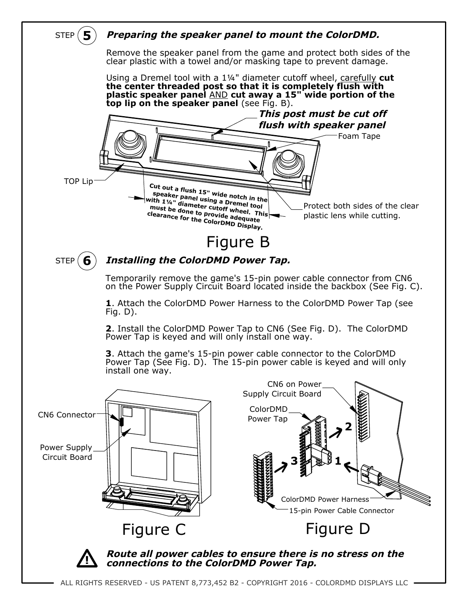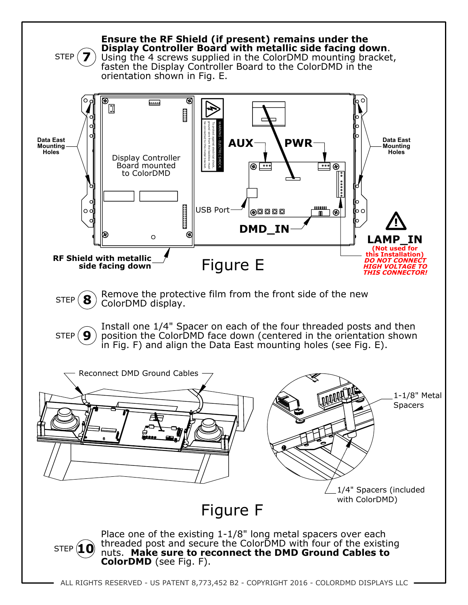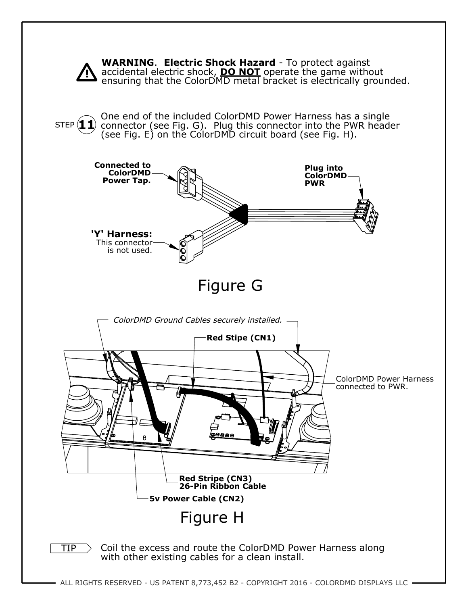